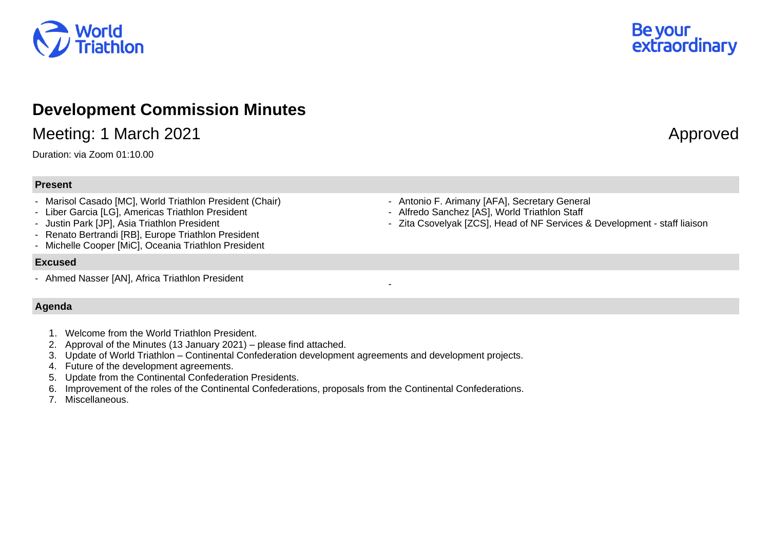

## **Development Commission Minutes**

Meeting: 1 March 2021 **Approved** 

Duration: via Zoom 01:10.00

## **Present**

- Marisol Casado [MC], World Triathlon President (Chair)
- Liber Garcia [LG], Americas Triathlon President
- Justin Park [JP], Asia Triathlon President
- Renato Bertrandi [RB], Europe Triathlon President
- Michelle Cooper [MiC], Oceania Triathlon President

## **Excused**

- Ahmed Nasser [AN], Africa Triathlon President

## **Agenda**

- 1. Welcome from the World Triathlon President.
- 2. Approval of the Minutes (13 January 2021) please find attached.
- 3. Update of World Triathlon Continental Confederation development agreements and development projects.
- 4. Future of the development agreements.
- 5. Update from the Continental Confederation Presidents.
- 6. Improvement of the roles of the Continental Confederations, proposals from the Continental Confederations.
- 7. Miscellaneous.
- Antonio F. Arimany [AFA], Secretary General
- Alfredo Sanchez [AS], World Triathlon Staff

-

- Zita Csovelyak [ZCS], Head of NF Services & Development - staff liaison

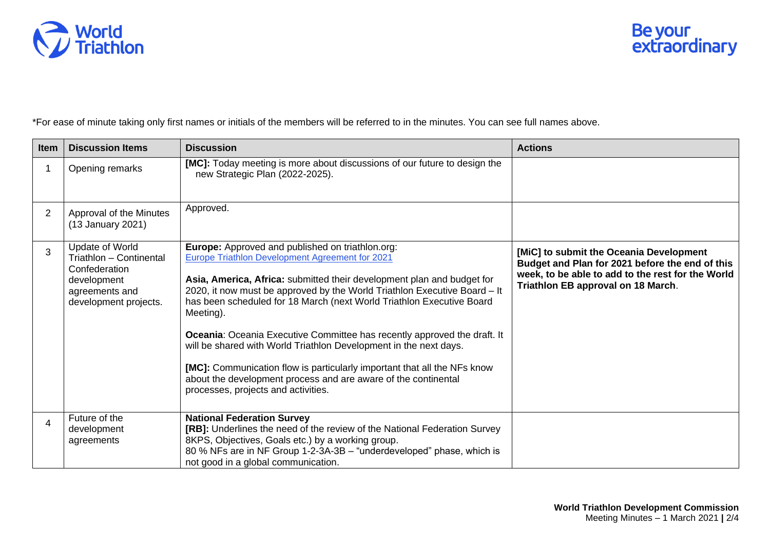

\*For ease of minute taking only first names or initials of the members will be referred to in the minutes. You can see full names above.

| Item           | <b>Discussion Items</b>                                                                                               | <b>Discussion</b>                                                                                                                                                                                                                                                                                                                                                                                                                                                                                                                                                                                                                                                                      | <b>Actions</b>                                                                                                                                                                        |
|----------------|-----------------------------------------------------------------------------------------------------------------------|----------------------------------------------------------------------------------------------------------------------------------------------------------------------------------------------------------------------------------------------------------------------------------------------------------------------------------------------------------------------------------------------------------------------------------------------------------------------------------------------------------------------------------------------------------------------------------------------------------------------------------------------------------------------------------------|---------------------------------------------------------------------------------------------------------------------------------------------------------------------------------------|
|                | Opening remarks                                                                                                       | [MC]: Today meeting is more about discussions of our future to design the<br>new Strategic Plan (2022-2025).                                                                                                                                                                                                                                                                                                                                                                                                                                                                                                                                                                           |                                                                                                                                                                                       |
| $\overline{2}$ | Approval of the Minutes<br>(13 January 2021)                                                                          | Approved.                                                                                                                                                                                                                                                                                                                                                                                                                                                                                                                                                                                                                                                                              |                                                                                                                                                                                       |
| 3              | Update of World<br>Triathlon - Continental<br>Confederation<br>development<br>agreements and<br>development projects. | Europe: Approved and published on triathlon.org:<br>Europe Triathlon Development Agreement for 2021<br>Asia, America, Africa: submitted their development plan and budget for<br>2020, it now must be approved by the World Triathlon Executive Board - It<br>has been scheduled for 18 March (next World Triathlon Executive Board<br>Meeting).<br>Oceania: Oceania Executive Committee has recently approved the draft. It<br>will be shared with World Triathlon Development in the next days.<br>[MC]: Communication flow is particularly important that all the NFs know<br>about the development process and are aware of the continental<br>processes, projects and activities. | [MiC] to submit the Oceania Development<br>Budget and Plan for 2021 before the end of this<br>week, to be able to add to the rest for the World<br>Triathlon EB approval on 18 March. |
| 4              | Future of the<br>development<br>agreements                                                                            | <b>National Federation Survey</b><br>[RB]: Underlines the need of the review of the National Federation Survey<br>8KPS, Objectives, Goals etc.) by a working group.<br>80 % NFs are in NF Group 1-2-3A-3B - "underdeveloped" phase, which is<br>not good in a global communication.                                                                                                                                                                                                                                                                                                                                                                                                    |                                                                                                                                                                                       |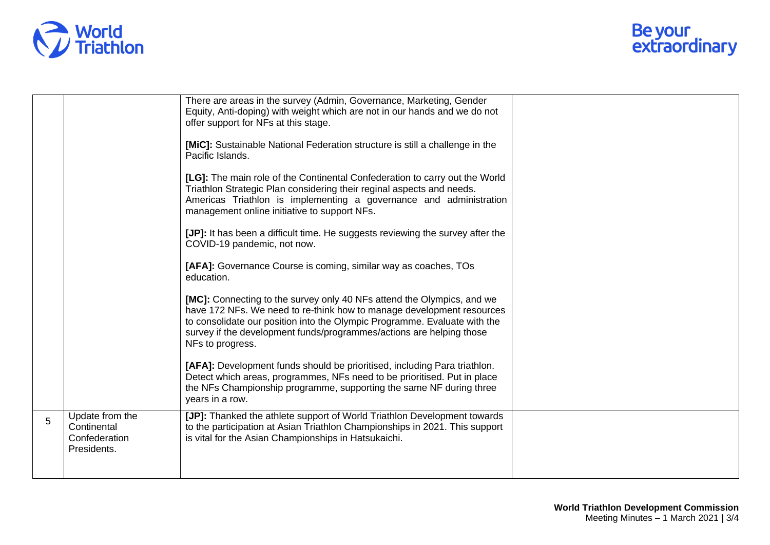

|   |                                                                | There are areas in the survey (Admin, Governance, Marketing, Gender<br>Equity, Anti-doping) with weight which are not in our hands and we do not<br>offer support for NFs at this stage.                                                                                                                                 |  |
|---|----------------------------------------------------------------|--------------------------------------------------------------------------------------------------------------------------------------------------------------------------------------------------------------------------------------------------------------------------------------------------------------------------|--|
|   |                                                                | [MiC]: Sustainable National Federation structure is still a challenge in the<br>Pacific Islands.                                                                                                                                                                                                                         |  |
|   |                                                                | [LG]: The main role of the Continental Confederation to carry out the World<br>Triathlon Strategic Plan considering their reginal aspects and needs.<br>Americas Triathlon is implementing a governance and administration<br>management online initiative to support NFs.                                               |  |
|   |                                                                | [JP]: It has been a difficult time. He suggests reviewing the survey after the<br>COVID-19 pandemic, not now.                                                                                                                                                                                                            |  |
|   |                                                                | [AFA]: Governance Course is coming, similar way as coaches, TOs<br>education.                                                                                                                                                                                                                                            |  |
|   |                                                                | [MC]: Connecting to the survey only 40 NFs attend the Olympics, and we<br>have 172 NFs. We need to re-think how to manage development resources<br>to consolidate our position into the Olympic Programme. Evaluate with the<br>survey if the development funds/programmes/actions are helping those<br>NFs to progress. |  |
|   |                                                                | [AFA]: Development funds should be prioritised, including Para triathlon.<br>Detect which areas, programmes, NFs need to be prioritised. Put in place<br>the NFs Championship programme, supporting the same NF during three<br>years in a row.                                                                          |  |
| 5 | Update from the<br>Continental<br>Confederation<br>Presidents. | [JP]: Thanked the athlete support of World Triathlon Development towards<br>to the participation at Asian Triathlon Championships in 2021. This support<br>is vital for the Asian Championships in Hatsukaichi.                                                                                                          |  |
|   |                                                                |                                                                                                                                                                                                                                                                                                                          |  |